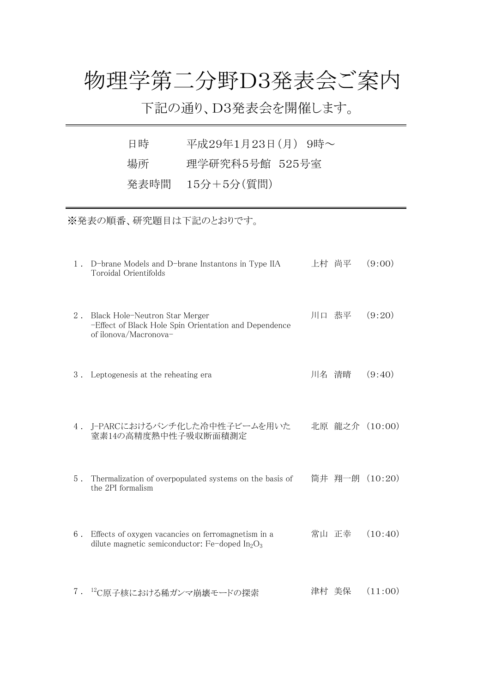## 物理学第二分野D3発表会ご案内

下記の通り、D3発表会を開催します。

| 日時 | 平成29年1月23日(月) 9時~ |
|----|-------------------|
| 場所 | 理学研究科5号館 525号室    |
|    | 発表時間 15分+5分(質問)   |

※発表の順番、研究題目は下記のとおりです。

|       | 1. D-brane Models and D-brane Instantons in Type IIA<br>Toroidal Orientifolds                                    | 上村 尚平 | (9:00)         |
|-------|------------------------------------------------------------------------------------------------------------------|-------|----------------|
| $2$ . | Black Hole-Neutron Star Merger<br>-Effect of Black Hole Spin Orientation and Dependence<br>of ilonova/Macronova- | 川口 恭平 | (9:20)         |
|       | 3. Leptogenesis at the reheating era                                                                             | 川名 清晴 | (9:40)         |
|       | 4. J-PARCにおけるバンチ化した冷中性子ビームを用いた<br>窒素14の高精度熱中性子吸収断面積測定                                                            |       | 北原 龍之介 (10:00) |
| $5$ . | Thermalization of overpopulated systems on the basis of<br>the 2PI formalism                                     |       | 筒井 翔一朗 (10:20) |
| 6.    | Effects of oxygen vacancies on ferromagnetism in a<br>dilute magnetic semiconductor: Fe-doped $In_2O_3$          |       | 常山 正幸 (10:40)  |
|       | 7. 12C原子核における稀ガンマ崩壊モードの探索                                                                                        | 津村 美保 | (11:00)        |